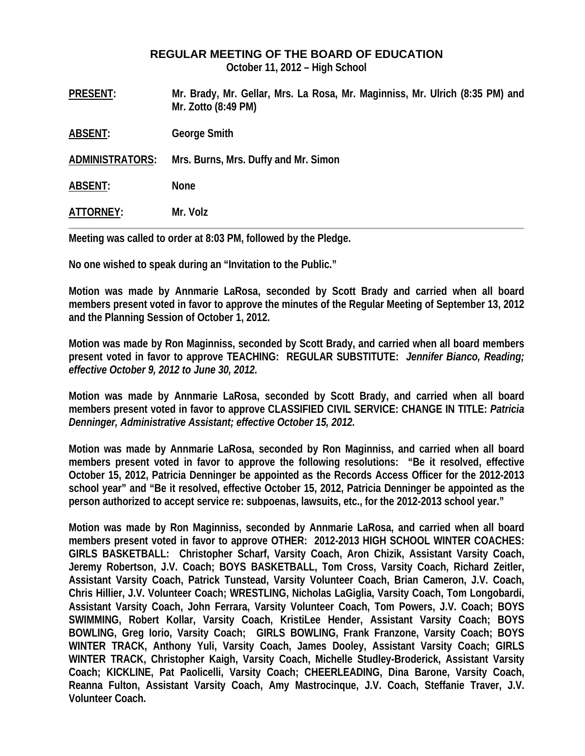## **REGULAR MEETING OF THE BOARD OF EDUCATION**

**October 11, 2012 – High School** 

|                        | .                                                                                                   |
|------------------------|-----------------------------------------------------------------------------------------------------|
| ATTORNEY:              | Mr. Volz                                                                                            |
| <b>ABSENT:</b>         | <b>None</b>                                                                                         |
| <b>ADMINISTRATORS:</b> | Mrs. Burns, Mrs. Duffy and Mr. Simon                                                                |
| <b>ABSENT:</b>         | <b>George Smith</b>                                                                                 |
| <b>PRESENT:</b>        | Mr. Brady, Mr. Gellar, Mrs. La Rosa, Mr. Maginniss, Mr. Ulrich (8:35 PM) and<br>Mr. Zotto (8:49 PM) |

**Meeting was called to order at 8:03 PM, followed by the Pledge.** 

**No one wished to speak during an "Invitation to the Public."** 

**Motion was made by Annmarie LaRosa, seconded by Scott Brady and carried when all board members present voted in favor to approve the minutes of the Regular Meeting of September 13, 2012 and the Planning Session of October 1, 2012.** 

**Motion was made by Ron Maginniss, seconded by Scott Brady, and carried when all board members present voted in favor to approve TEACHING: REGULAR SUBSTITUTE:** *Jennifer Bianco, Reading; effective October 9, 2012 to June 30, 2012.* 

**Motion was made by Annmarie LaRosa, seconded by Scott Brady, and carried when all board members present voted in favor to approve CLASSIFIED CIVIL SERVICE: CHANGE IN TITLE:** *Patricia Denninger, Administrative Assistant; effective October 15, 2012.* 

**Motion was made by Annmarie LaRosa, seconded by Ron Maginniss, and carried when all board members present voted in favor to approve the following resolutions: "Be it resolved, effective October 15, 2012, Patricia Denninger be appointed as the Records Access Officer for the 2012-2013 school year" and "Be it resolved, effective October 15, 2012, Patricia Denninger be appointed as the person authorized to accept service re: subpoenas, lawsuits, etc., for the 2012-2013 school year."** 

**Motion was made by Ron Maginniss, seconded by Annmarie LaRosa, and carried when all board members present voted in favor to approve OTHER: 2012-2013 HIGH SCHOOL WINTER COACHES: GIRLS BASKETBALL: Christopher Scharf, Varsity Coach, Aron Chizik, Assistant Varsity Coach, Jeremy Robertson, J.V. Coach; BOYS BASKETBALL, Tom Cross, Varsity Coach, Richard Zeitler, Assistant Varsity Coach, Patrick Tunstead, Varsity Volunteer Coach, Brian Cameron, J.V. Coach, Chris Hillier, J.V. Volunteer Coach; WRESTLING, Nicholas LaGiglia, Varsity Coach, Tom Longobardi, Assistant Varsity Coach, John Ferrara, Varsity Volunteer Coach, Tom Powers, J.V. Coach; BOYS SWIMMING, Robert Kollar, Varsity Coach, KristiLee Hender, Assistant Varsity Coach; BOYS BOWLING, Greg Iorio, Varsity Coach; GIRLS BOWLING, Frank Franzone, Varsity Coach; BOYS WINTER TRACK, Anthony Yuli, Varsity Coach, James Dooley, Assistant Varsity Coach; GIRLS WINTER TRACK, Christopher Kaigh, Varsity Coach, Michelle Studley-Broderick, Assistant Varsity Coach; KICKLINE, Pat Paolicelli, Varsity Coach; CHEERLEADING, Dina Barone, Varsity Coach, Reanna Fulton, Assistant Varsity Coach, Amy Mastrocinque, J.V. Coach, Steffanie Traver, J.V. Volunteer Coach.**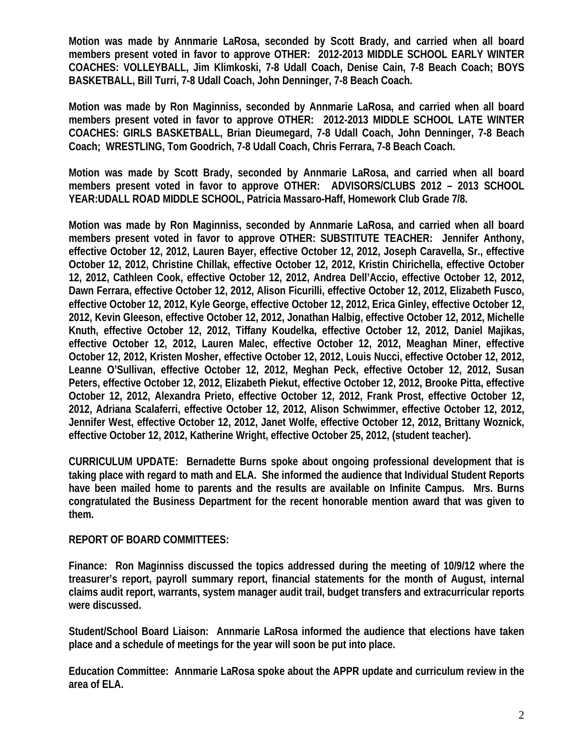**Motion was made by Annmarie LaRosa, seconded by Scott Brady, and carried when all board members present voted in favor to approve OTHER: 2012-2013 MIDDLE SCHOOL EARLY WINTER COACHES: VOLLEYBALL, Jim Klimkoski, 7-8 Udall Coach, Denise Cain, 7-8 Beach Coach; BOYS BASKETBALL, Bill Turri, 7-8 Udall Coach, John Denninger, 7-8 Beach Coach.** 

**Motion was made by Ron Maginniss, seconded by Annmarie LaRosa, and carried when all board members present voted in favor to approve OTHER: 2012-2013 MIDDLE SCHOOL LATE WINTER COACHES: GIRLS BASKETBALL, Brian Dieumegard, 7-8 Udall Coach, John Denninger, 7-8 Beach Coach; WRESTLING, Tom Goodrich, 7-8 Udall Coach, Chris Ferrara, 7-8 Beach Coach.** 

**Motion was made by Scott Brady, seconded by Annmarie LaRosa, and carried when all board members present voted in favor to approve OTHER: ADVISORS/CLUBS 2012 – 2013 SCHOOL YEAR:UDALL ROAD MIDDLE SCHOOL, Patricia Massaro-Haff, Homework Club Grade 7/8.** 

**Motion was made by Ron Maginniss, seconded by Annmarie LaRosa, and carried when all board members present voted in favor to approve OTHER: SUBSTITUTE TEACHER: Jennifer Anthony, effective October 12, 2012, Lauren Bayer, effective October 12, 2012, Joseph Caravella, Sr., effective October 12, 2012, Christine Chillak, effective October 12, 2012, Kristin Chirichella, effective October 12, 2012, Cathleen Cook, effective October 12, 2012, Andrea Dell'Accio, effective October 12, 2012, Dawn Ferrara, effective October 12, 2012, Alison Ficurilli, effective October 12, 2012, Elizabeth Fusco, effective October 12, 2012, Kyle George, effective October 12, 2012, Erica Ginley, effective October 12, 2012, Kevin Gleeson, effective October 12, 2012, Jonathan Halbig, effective October 12, 2012, Michelle Knuth, effective October 12, 2012, Tiffany Koudelka, effective October 12, 2012, Daniel Majikas, effective October 12, 2012, Lauren Malec, effective October 12, 2012, Meaghan Miner, effective October 12, 2012, Kristen Mosher, effective October 12, 2012, Louis Nucci, effective October 12, 2012, Leanne O'Sullivan, effective October 12, 2012, Meghan Peck, effective October 12, 2012, Susan Peters, effective October 12, 2012, Elizabeth Piekut, effective October 12, 2012, Brooke Pitta, effective October 12, 2012, Alexandra Prieto, effective October 12, 2012, Frank Prost, effective October 12, 2012, Adriana Scalaferri, effective October 12, 2012, Alison Schwimmer, effective October 12, 2012, Jennifer West, effective October 12, 2012, Janet Wolfe, effective October 12, 2012, Brittany Woznick, effective October 12, 2012, Katherine Wright, effective October 25, 2012, (student teacher).** 

**CURRICULUM UPDATE: Bernadette Burns spoke about ongoing professional development that is taking place with regard to math and ELA. She informed the audience that Individual Student Reports have been mailed home to parents and the results are available on Infinite Campus. Mrs. Burns congratulated the Business Department for the recent honorable mention award that was given to them.** 

## **REPORT OF BOARD COMMITTEES:**

**Finance: Ron Maginniss discussed the topics addressed during the meeting of 10/9/12 where the treasurer's report, payroll summary report, financial statements for the month of August, internal claims audit report, warrants, system manager audit trail, budget transfers and extracurricular reports were discussed.** 

**Student/School Board Liaison: Annmarie LaRosa informed the audience that elections have taken place and a schedule of meetings for the year will soon be put into place.** 

**Education Committee: Annmarie LaRosa spoke about the APPR update and curriculum review in the area of ELA.**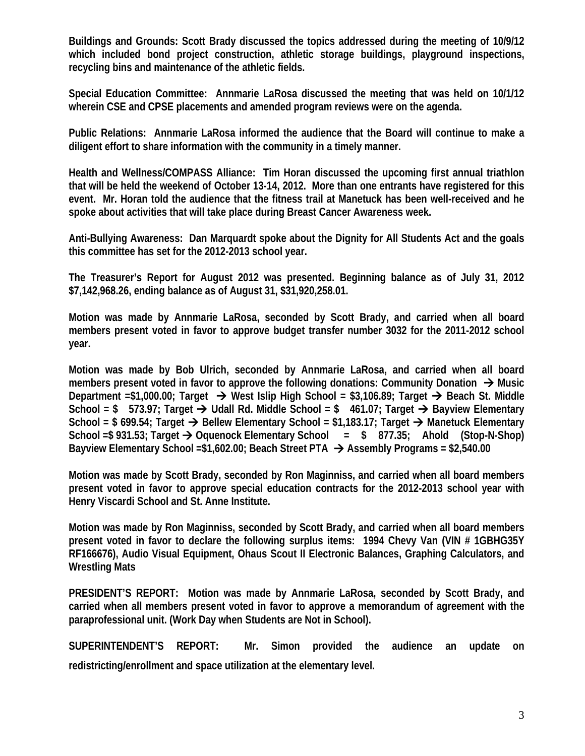**Buildings and Grounds: Scott Brady discussed the topics addressed during the meeting of 10/9/12 which included bond project construction, athletic storage buildings, playground inspections, recycling bins and maintenance of the athletic fields.** 

**Special Education Committee: Annmarie LaRosa discussed the meeting that was held on 10/1/12 wherein CSE and CPSE placements and amended program reviews were on the agenda.** 

**Public Relations: Annmarie LaRosa informed the audience that the Board will continue to make a diligent effort to share information with the community in a timely manner.** 

**Health and Wellness/COMPASS Alliance: Tim Horan discussed the upcoming first annual triathlon that will be held the weekend of October 13-14, 2012. More than one entrants have registered for this event. Mr. Horan told the audience that the fitness trail at Manetuck has been well-received and he spoke about activities that will take place during Breast Cancer Awareness week.** 

**Anti-Bullying Awareness: Dan Marquardt spoke about the Dignity for All Students Act and the goals this committee has set for the 2012-2013 school year.** 

**The Treasurer's Report for August 2012 was presented. Beginning balance as of July 31, 2012 \$7,142,968.26, ending balance as of August 31, \$31,920,258.01.** 

**Motion was made by Annmarie LaRosa, seconded by Scott Brady, and carried when all board members present voted in favor to approve budget transfer number 3032 for the 2011-2012 school year.** 

**Motion was made by Bob Ulrich, seconded by Annmarie LaRosa, and carried when all board members present voted in favor to approve the following donations: Community Donation → Music Department =\$1,000.00; Target → West Islip High School = \$3,106.89; Target → Beach St. Middle** School = \$ 573.97; Target → Udall Rd. Middle School = \$ 461.07; Target → Bayview Elementary School = \$ 699.54; Target → Bellew Elementary School = \$1,183.17; Target → Manetuck Elementary **School =\$ 931.53; Target Oquenock Elementary School = \$ 877.35; Ahold (Stop-N-Shop) Bayview Elementary School =\$1,602.00; Beach Street PTA Assembly Programs = \$2,540.00** 

**Motion was made by Scott Brady, seconded by Ron Maginniss, and carried when all board members present voted in favor to approve special education contracts for the 2012-2013 school year with Henry Viscardi School and St. Anne Institute.** 

**Motion was made by Ron Maginniss, seconded by Scott Brady, and carried when all board members present voted in favor to declare the following surplus items: 1994 Chevy Van (VIN # 1GBHG35Y RF166676), Audio Visual Equipment, Ohaus Scout II Electronic Balances, Graphing Calculators, and Wrestling Mats** 

**PRESIDENT'S REPORT: Motion was made by Annmarie LaRosa, seconded by Scott Brady, and carried when all members present voted in favor to approve a memorandum of agreement with the paraprofessional unit. (Work Day when Students are Not in School).** 

**SUPERINTENDENT'S REPORT: Mr. Simon provided the audience an update on redistricting/enrollment and space utilization at the elementary level.**